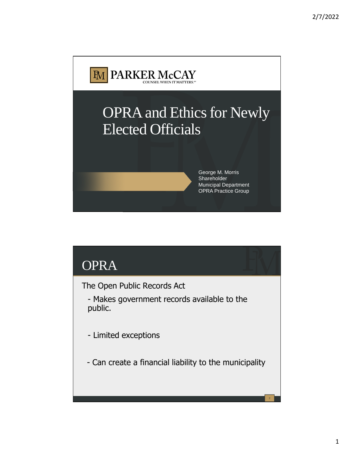

# OPRA

The Open Public Records Act

- Makes government records available to the public.

- Limited exceptions

- Can create a financial liability to the municipality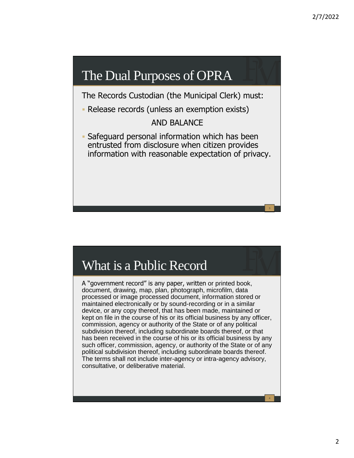#### The Dual Purposes of OPRA

The Records Custodian (the Municipal Clerk) must:

Release records (unless an exemption exists)

#### AND BALANCE

 Safeguard personal information which has been entrusted from disclosure when citizen provides information with reasonable expectation of privacy.

# What is a Public Record

A "government record" is any paper, written or printed book, document, drawing, map, plan, photograph, microfilm, data processed or image processed document, information stored or maintained electronically or by sound-recording or in a similar device, or any copy thereof, that has been made, maintained or kept on file in the course of his or its official business by any officer, commission, agency or authority of the State or of any political subdivision thereof, including subordinate boards thereof, or that has been received in the course of his or its official business by any such officer, commission, agency, or authority of the State or of any political subdivision thereof, including subordinate boards thereof. The terms shall not include inter-agency or intra-agency advisory, consultative, or deliberative material.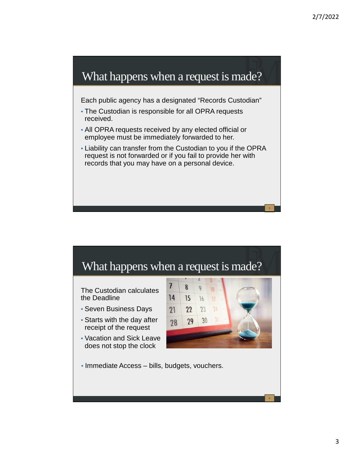

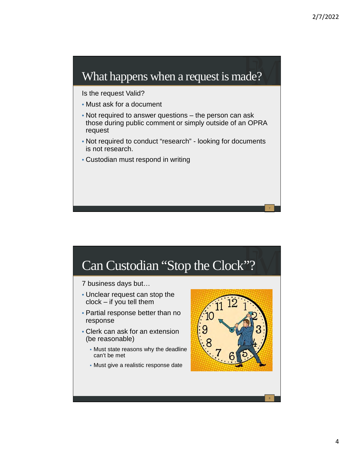#### What happens when a request is made?

Is the request Valid?

- Must ask for a document
- Not required to answer questions the person can ask those during public comment or simply outside of an OPRA request
- Not required to conduct "research" looking for documents is not research.
- Custodian must respond in writing

# Can Custodian "Stop the Clock"?

7 business days but…

- Unclear request can stop the clock – if you tell them
- Partial response better than no response
- Clerk can ask for an extension (be reasonable)
	- Must state reasons why the deadline can't be met
	- Must give a realistic response date

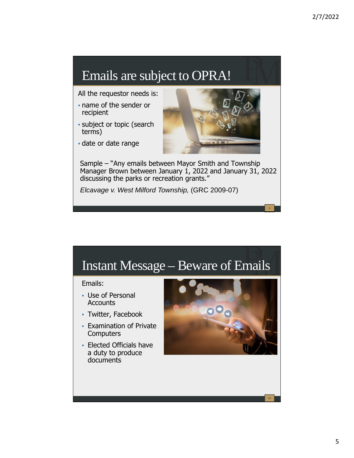# Emails are subject to OPRA!

All the requestor needs is:

- name of the sender or recipient
- subject or topic (search terms)
- date or date range



9

Sample – "Any emails between Mayor Smith and Township Manager Brown between January 1, 2022 and January 31, 2022 discussing the parks or recreation grants."

*Elcavage v. West Milford Township,* (GRC 2009-07)

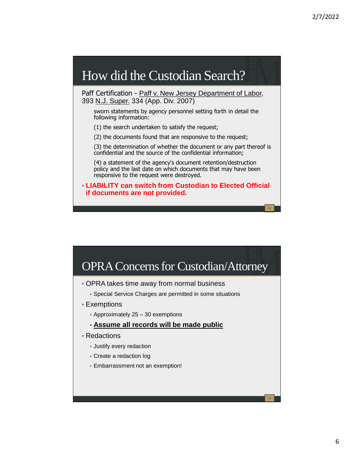## How did the Custodian Search?

Paff Certification - Paff v. New Jersey Department of Labor, 393 N.J. Super. 334 (App. Div. 2007)

sworn statements by agency personnel setting forth in detail the following information:

(1) the search undertaken to satisfy the request;

(2) the documents found that are responsive to the request;

(3) the determination of whether the document or any part thereof is confidential and the source of the confidential information;

(4) a statement of the agency's document retention/destruction policy and the last date on which documents that may have been responsive to the request were destroyed.

• **LIABILITY can switch from Custodian to Elected Official if documents are not provided.**



- OPRA takes time away from normal business
	- Special Service Charges are permitted in some situations
- Exemptions
	- Approximately 25 30 exemptions
	- **Assume all records will be made public**
- Redactions
	- Justify every redaction
	- Create a redaction log
	- Embarrassment not an exemption!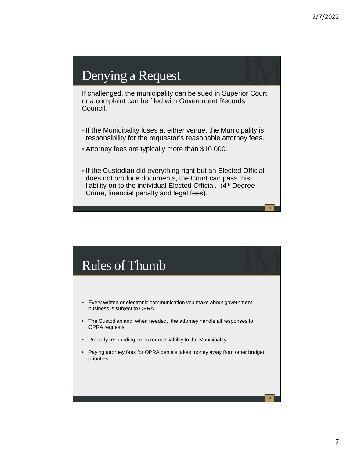## Denying a Request

If challenged, the municipality can be sued in Superior Court or a complaint can be filed with Government Records Council.

- If the Municipality loses at either venue, the Municipality is responsibility for the requestor's reasonable attorney fees.
- Attorney fees are typically more than \$10,000.
- If the Custodian did everything right but an Elected Official does not produce documents, the Court can pass this liability on to the individual Elected Official.  $(4<sup>th</sup>$  Degree Crime, financial penalty and legal fees).

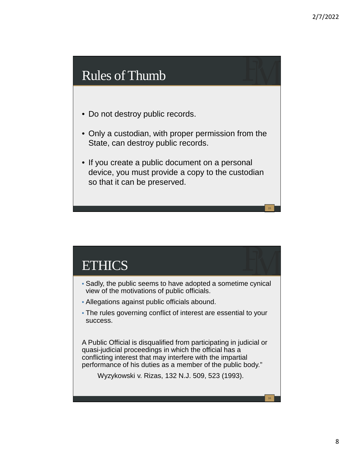#### Rules of Thumb

- Do not destroy public records.
- Only a custodian, with proper permission from the State, can destroy public records.
- If you create a public document on a personal device, you must provide a copy to the custodian so that it can be preserved.

#### ETHICS

- Sadly, the public seems to have adopted a sometime cynical view of the motivations of public officials.
- Allegations against public officials abound.
- The rules governing conflict of interest are essential to your success.

A Public Official is disqualified from participating in judicial or quasi-judicial proceedings in which the official has a conflicting interest that may interfere with the impartial performance of his duties as a member of the public body."

Wyzykowski v. Rizas, 132 N.J. 509, 523 (1993).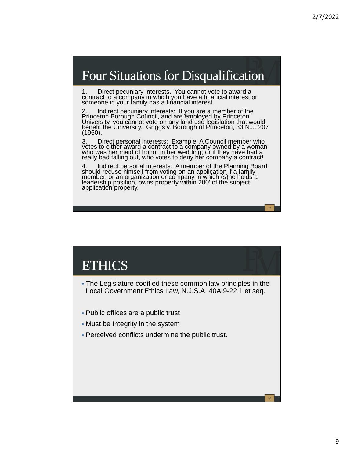18

#### Four Situations for Disqualification

1. Direct pecuniary interests. You cannot vote to award a contract to a company in which you have a financial interest or someone in your family has a financial interest.

2. Indirect pecuniary interests: If you are a member of the Princeton Borough Council, and are employed by Princeton University, you cannot vote on any land use legislation that would benefit the University. Griggs v. Borough of Princeton, 33 N.J. 207 (1960).

3. Direct personal interests: Example: A Council member who votes to either award a contract to a company owned by a woman who was her maid of honor in her wedding; or if they have had a really bad falling out, who votes to deny her company a contract!

4. Indirect personal interests: A member of the Planning Board should recuse himself from voting on an application if a family member, or an organization or company in which (s)he holds a leadership position, owns property within 200' of the subject application property.

#### **ETHICS**

- The Legislature codified these common law principles in the Local Government Ethics Law, N.J.S.A. 40A:9-22.1 et seq.
- Public offices are a public trust
- Must be Integrity in the system
- Perceived conflicts undermine the public trust.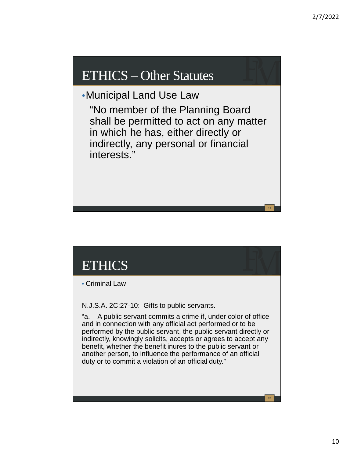## ETHICS – Other Statutes

•Municipal Land Use Law

"No member of the Planning Board shall be permitted to act on any matter in which he has, either directly or indirectly, any personal or financial interests."

# ETHICS

• Criminal Law

N.J.S.A. 2C:27-10: Gifts to public servants.

"a. A public servant commits a crime if, under color of office and in connection with any official act performed or to be performed by the public servant, the public servant directly or indirectly, knowingly solicits, accepts or agrees to accept any benefit, whether the benefit inures to the public servant or another person, to influence the performance of an official duty or to commit a violation of an official duty."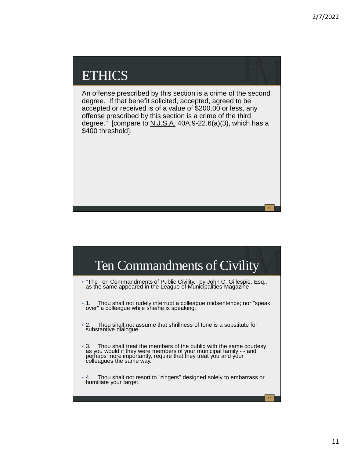## **ETHICS**

An offense prescribed by this section is a crime of the second degree. If that benefit solicited, accepted, agreed to be accepted or received is of a value of \$200.00 or less, any offense prescribed by this section is a crime of the third degree." [compare to  $N.J.S.A.$  40A:9-22.6(a)(3), which has a \$400 threshold].

## Ten Commandments of Civility

- "The Ten Commandments of Public Civility." by John C. Gillespie, Esq., as the same appeared in the League of Municipalities Magazine
- 1. Thou shalt not rudely interrupt a colleague midsentence; nor "speak over" a colleague while she/he is speaking.
- 2. Thou shalt not assume that shrillness of tone is a substitute for substantive dialogue.
- 3. Thou shalt treat the members of the public with the same courtesy as you would if they were members of your municipal family - - and perhaps more importantly, require that they treat you and your colleagues the same way.
- 4. Thou shalt not resort to "zingers" designed solely to embarrass or humiliate your target.